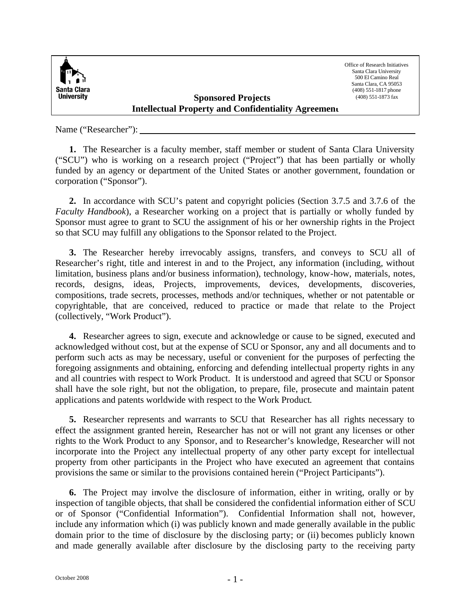

Office of Research Initiatives Santa Clara University 500 El Camino Real Santa Clara, CA 95053 (408) 551-1817 phone (408) 551-1873 fax

## **Sponsored Projects Intellectual Property and Confidentiality Agreement**

Name ("Researcher"):

**1.** The Researcher is a faculty member, staff member or student of Santa Clara University ("SCU") who is working on a research project ("Project") that has been partially or wholly funded by an agency or department of the United States or another government, foundation or corporation ("Sponsor").

**2.** In accordance with SCU's patent and copyright policies (Section 3.7.5 and 3.7.6 of the *Faculty Handbook*), a Researcher working on a project that is partially or wholly funded by Sponsor must agree to grant to SCU the assignment of his or her ownership rights in the Project so that SCU may fulfill any obligations to the Sponsor related to the Project.

**3.** The Researcher hereby irrevocably assigns, transfers, and conveys to SCU all of Researcher's right, title and interest in and to the Project, any information (including, without limitation, business plans and/or business information), technology, know-how, materials, notes, records, designs, ideas, Projects, improvements, devices, developments, discoveries, compositions, trade secrets, processes, methods and/or techniques, whether or not patentable or copyrightable, that are conceived, reduced to practice or made that relate to the Project (collectively, "Work Product").

**4.** Researcher agrees to sign, execute and acknowledge or cause to be signed, executed and acknowledged without cost, but at the expense of SCU or Sponsor, any and all documents and to perform such acts as may be necessary, useful or convenient for the purposes of perfecting the foregoing assignments and obtaining, enforcing and defending intellectual property rights in any and all countries with respect to Work Product. It is understood and agreed that SCU or Sponsor shall have the sole right, but not the obligation, to prepare, file, prosecute and maintain patent applications and patents worldwide with respect to the Work Product.

**5.** Researcher represents and warrants to SCU that Researcher has all rights necessary to effect the assignment granted herein, Researcher has not or will not grant any licenses or other rights to the Work Product to any Sponsor, and to Researcher's knowledge, Researcher will not incorporate into the Project any intellectual property of any other party except for intellectual property from other participants in the Project who have executed an agreement that contains provisions the same or similar to the provisions contained herein ("Project Participants").

**6.** The Project may involve the disclosure of information, either in writing, orally or by inspection of tangible objects, that shall be considered the confidential information either of SCU or of Sponsor ("Confidential Information"). Confidential Information shall not, however, include any information which (i) was publicly known and made generally available in the public domain prior to the time of disclosure by the disclosing party; or (ii) becomes publicly known and made generally available after disclosure by the disclosing party to the receiving party